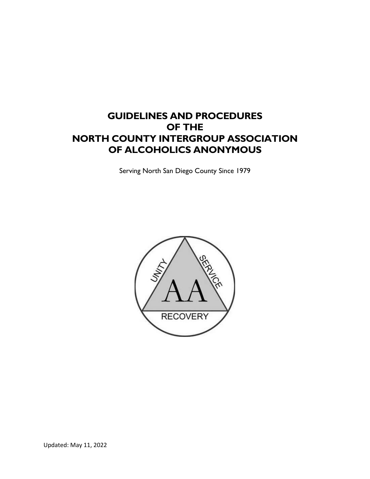# **GUIDELINES AND PROCEDURES OF THE NORTH COUNTY INTERGROUP ASSOCIATION OF ALCOHOLICS ANONYMOUS**

Serving North San Diego County Since 1979

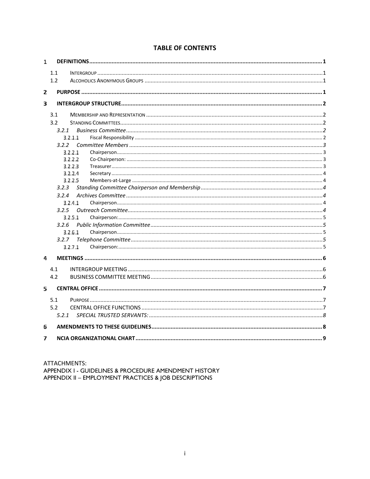## **TABLE OF CONTENTS**

| 1 |         |  |  |  |  |  |
|---|---------|--|--|--|--|--|
|   | 1.1     |  |  |  |  |  |
|   | 1.2     |  |  |  |  |  |
|   |         |  |  |  |  |  |
| 2 |         |  |  |  |  |  |
| 3 |         |  |  |  |  |  |
|   | 3.1     |  |  |  |  |  |
|   | 3.2     |  |  |  |  |  |
|   | 3.2.1   |  |  |  |  |  |
|   | 3.2.1.1 |  |  |  |  |  |
|   | 3.2.2   |  |  |  |  |  |
|   | 3.2.2.1 |  |  |  |  |  |
|   | 3.2.2.2 |  |  |  |  |  |
|   | 3.2.2.3 |  |  |  |  |  |
|   | 3.2.2.4 |  |  |  |  |  |
|   | 3.2.2.5 |  |  |  |  |  |
|   | 3.2.3   |  |  |  |  |  |
|   | 3.2.4   |  |  |  |  |  |
|   | 3.2.4.1 |  |  |  |  |  |
|   | 3.2.5   |  |  |  |  |  |
|   | 3.2.5.1 |  |  |  |  |  |
|   | 3.2.6   |  |  |  |  |  |
|   | 3.2.6.1 |  |  |  |  |  |
|   | 3.2.7   |  |  |  |  |  |
|   | 3.2.7.1 |  |  |  |  |  |
| 4 |         |  |  |  |  |  |
|   | 4.1     |  |  |  |  |  |
|   | 4.2     |  |  |  |  |  |
| 5 |         |  |  |  |  |  |
|   |         |  |  |  |  |  |
|   | 5.1     |  |  |  |  |  |
|   | 5.2     |  |  |  |  |  |
|   | 5.2.1   |  |  |  |  |  |
| 6 |         |  |  |  |  |  |
| 7 |         |  |  |  |  |  |

ATTACHMENTS: APPENDIX I - GUIDELINES & PROCEDURE AMENDMENT HISTORY<br>APPENDIX II – EMPLOYMENT PRACTICES & JOB DESCRIPTIONS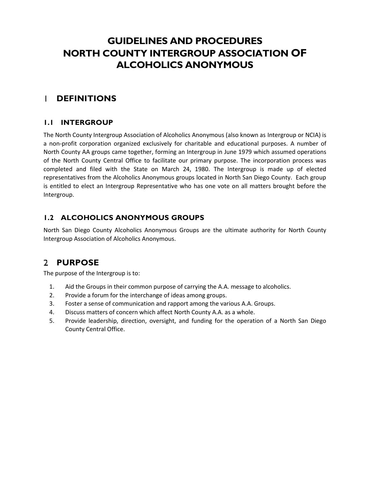# **GUIDELINES AND PROCEDURES NORTH COUNTY INTERGROUP ASSOCIATION OF ALCOHOLICS ANONYMOUS**

#### <span id="page-2-1"></span><span id="page-2-0"></span>**DEFINITIONS**  $\mathbf{I}$

## **1.1 INTERGROUP**

The North County Intergroup Association of Alcoholics Anonymous (also known as Intergroup or NCIA) is a non-profit corporation organized exclusively for charitable and educational purposes. A number of North County AA groups came together, forming an Intergroup in June 1979 which assumed operations of the North County Central Office to facilitate our primary purpose. The incorporation process was completed and filed with the State on March 24, 1980. The Intergroup is made up of elected representatives from the Alcoholics Anonymous groups located in North San Diego County. Each group is entitled to elect an Intergroup Representative who has one vote on all matters brought before the Intergroup.

# <span id="page-2-2"></span>**1.2 ALCOHOLICS ANONYMOUS GROUPS**

North San Diego County Alcoholics Anonymous Groups are the ultimate authority for North County Intergroup Association of Alcoholics Anonymous.

# <span id="page-2-3"></span>**PURPOSE**

The purpose of the Intergroup is to:

- 1. Aid the Groups in their common purpose of carrying the A.A. message to alcoholics.
- 2. Provide a forum for the interchange of ideas among groups.
- 3. Foster a sense of communication and rapport among the various A.A. Groups.
- 4. Discuss matters of concern which affect North County A.A. as a whole.
- 5. Provide leadership, direction, oversight, and funding for the operation of a North San Diego County Central Office.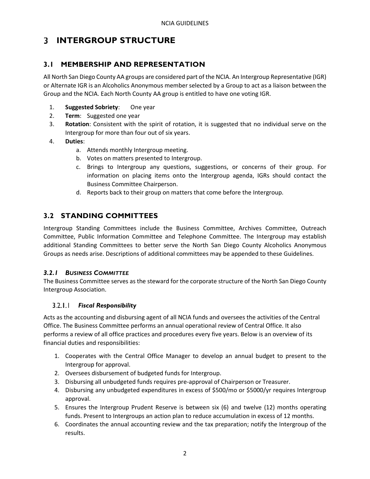# <span id="page-3-1"></span><span id="page-3-0"></span>**INTERGROUP STRUCTURE**

# **3.1 MEMBERSHIP AND REPRESENTATION**

All North San Diego County AA groups are considered part of the NCIA. An Intergroup Representative (IGR) or Alternate IGR is an Alcoholics Anonymous member selected by a Group to act as a liaison between the Group and the NCIA. Each North County AA group is entitled to have one voting IGR.

- 1. **Suggested Sobriety**: One year
- 2. **Term**: Suggested one year
- 3. **Rotation**: Consistent with the spirit of rotation, it is suggested that no individual serve on the Intergroup for more than four out of six years.
- 4. **Duties**:
	- a. Attends monthly Intergroup meeting.
	- b. Votes on matters presented to Intergroup.
	- c. Brings to Intergroup any questions, suggestions, or concerns of their group. For information on placing items onto the Intergroup agenda, IGRs should contact the Business Committee Chairperson.
	- d. Reports back to their group on matters that come before the Intergroup.

# <span id="page-3-2"></span>**3.2 STANDING COMMITTEES**

Intergroup Standing Committees include the Business Committee, Archives Committee, Outreach Committee, Public Information Committee and Telephone Committee. The Intergroup may establish additional Standing Committees to better serve the North San Diego County Alcoholics Anonymous Groups as needs arise. Descriptions of additional committees may be appended to these Guidelines.

## <span id="page-3-3"></span>*3.2.1 BUSINESS COMMITTEE*

The Business Committee serves as the steward for the corporate structure of the North San Diego County Intergroup Association.

#### <span id="page-3-4"></span> $3.2.1.1$ *Fiscal Responsibility*

Acts as the accounting and disbursing agent of all NCIA funds and oversees the activities of the Central Office. The Business Committee performs an annual operational review of Central Office. It also performs a review of all office practices and procedures every five years. Below is an overview of its financial duties and responsibilities:

- 1. Cooperates with the Central Office Manager to develop an annual budget to present to the Intergroup for approval.
- 2. Oversees disbursement of budgeted funds for Intergroup.
- 3. Disbursing all unbudgeted funds requires pre-approval of Chairperson or Treasurer.
- 4. Disbursing any unbudgeted expenditures in excess of \$500/mo or \$5000/yr requires Intergroup approval.
- 5. Ensures the Intergroup Prudent Reserve is between six (6) and twelve (12) months operating funds. Present to Intergroups an action plan to reduce accumulation in excess of 12 months.
- 6. Coordinates the annual accounting review and the tax preparation; notify the Intergroup of the results.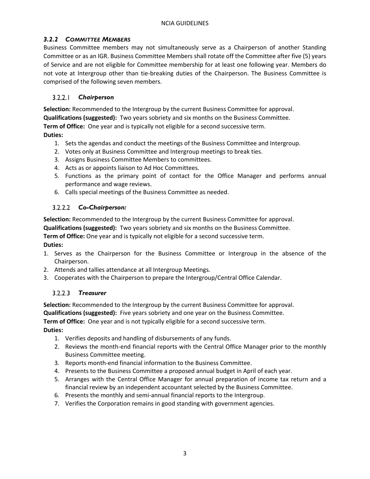## <span id="page-4-0"></span>*3.2.2 COMMITTEE MEMBERS*

Business Committee members may not simultaneously serve as a Chairperson of another Standing Committee or as an IGR. Business Committee Members shall rotate off the Committee after five (5) years of Service and are not eligible for Committee membership for at least one following year. Members do not vote at Intergroup other than tie-breaking duties of the Chairperson. The Business Committee is comprised of the following seven members.

#### <span id="page-4-1"></span> $3.2.2.1$ *Chairperson*

**Selection:** Recommended to the Intergroup by the current Business Committee for approval.

**Qualifications (suggested):** Two years sobriety and six months on the Business Committee.

**Term of Office:** One year and is typically not eligible for a second successive term.

#### **Duties:**

- 1. Sets the agendas and conduct the meetings of the Business Committee and Intergroup.
- 2. Votes only at Business Committee and Intergroup meetings to break ties.
- 3. Assigns Business Committee Members to committees.
- 4. Acts as or appoints liaison to Ad Hoc Committees.
- 5. Functions as the primary point of contact for the Office Manager and performs annual performance and wage reviews.
- 6. Calls special meetings of the Business Committee as needed.

## <span id="page-4-2"></span>*Co-Chairperson:*

**Selection:** Recommended to the Intergroup by the current Business Committee for approval.

**Qualifications (suggested):** Two years sobriety and six months on the Business Committee.

**Term of Office:** One year and is typically not eligible for a second successive term.

#### **Duties:**

- 1. Serves as the Chairperson for the Business Committee or Intergroup in the absence of the Chairperson.
- 2. Attends and tallies attendance at all Intergroup Meetings.
- 3. Cooperates with the Chairperson to prepare the Intergroup/Central Office Calendar.

## <span id="page-4-3"></span>*Treasurer*

**Selection:** Recommended to the Intergroup by the current Business Committee for approval.

**Qualifications (suggested):** Five years sobriety and one year on the Business Committee.

**Term of Office:** One year and is not typically eligible for a second successive term.

#### **Duties:**

- 1. Verifies deposits and handling of disbursements of any funds.
- 2. Reviews the month-end financial reports with the Central Office Manager prior to the monthly Business Committee meeting.
- 3. Reports month-end financial information to the Business Committee.
- 4. Presents to the Business Committee a proposed annual budget in April of each year.
- 5. Arranges with the Central Office Manager for annual preparation of income tax return and a financial review by an independent accountant selected by the Business Committee.
- 6. Presents the monthly and semi-annual financial reports to the Intergroup.
- 7. Verifies the Corporation remains in good standing with government agencies.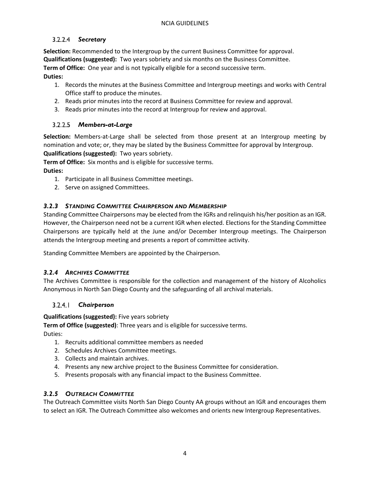## <span id="page-5-0"></span>*Secretary*

**Selection:** Recommended to the Intergroup by the current Business Committee for approval. **Qualifications (suggested):** Two years sobriety and six months on the Business Committee. **Term of Office:** One year and is not typically eligible for a second successive term. **Duties:**

## 1. Records the minutes at the Business Committee and Intergroup meetings and works with Central Office staff to produce the minutes.

- 2. Reads prior minutes into the record at Business Committee for review and approval.
- 3. Reads prior minutes into the record at Intergroup for review and approval.

## <span id="page-5-1"></span>*Members-at-Large*

**Selection:** Members-at-Large shall be selected from those present at an Intergroup meeting by nomination and vote; or, they may be slated by the Business Committee for approval by Intergroup.

**Qualifications (suggested):** Two years sobriety.

**Term of Office:** Six months and is eligible for successive terms.

**Duties:**

- 1. Participate in all Business Committee meetings.
- 2. Serve on assigned Committees.

## <span id="page-5-2"></span>*3.2.3 STANDING COMMITTEE CHAIRPERSON AND MEMBERSHIP*

Standing Committee Chairpersons may be elected from the IGRs and relinquish his/her position as an IGR. However, the Chairperson need not be a current IGR when elected. Elections for the Standing Committee Chairpersons are typically held at the June and/or December Intergroup meetings. The Chairperson attends the Intergroup meeting and presents a report of committee activity.

Standing Committee Members are appointed by the Chairperson.

## <span id="page-5-3"></span>*3.2.4 ARCHIVES COMMITTEE*

The Archives Committee is responsible for the collection and management of the history of Alcoholics Anonymous in North San Diego County and the safeguarding of all archival materials.

#### <span id="page-5-4"></span> $3.2.4.1$ *Chairperson*

**Qualifications (suggested):** Five years sobriety

**Term of Office (suggested)**: Three years and is eligible for successive terms.

Duties:

- 1. Recruits additional committee members as needed
- 2. Schedules Archives Committee meetings.
- 3. Collects and maintain archives.
- 4. Presents any new archive project to the Business Committee for consideration.
- 5. Presents proposals with any financial impact to the Business Committee.

#### <span id="page-5-5"></span>*3.2.5 OUTREACH COMMITTEE*

The Outreach Committee visits North San Diego County AA groups without an IGR and encourages them to select an IGR. The Outreach Committee also welcomes and orients new Intergroup Representatives.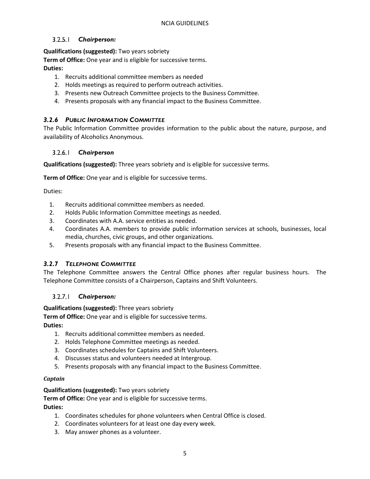#### <span id="page-6-0"></span> $3.2.5.1$ *Chairperson:*

#### **Qualifications (suggested):** Two years sobriety

**Term of Office:** One year and is eligible for successive terms. **Duties:**

- 1. Recruits additional committee members as needed
- 2. Holds meetings as required to perform outreach activities.
- 3. Presents new Outreach Committee projects to the Business Committee.
- 4. Presents proposals with any financial impact to the Business Committee.

#### <span id="page-6-1"></span>*3.2.6 PUBLIC INFORMATION COMMITTEE*

The Public Information Committee provides information to the public about the nature, purpose, and availability of Alcoholics Anonymous.

#### <span id="page-6-2"></span> $3.2.6.1$ *Chairperson*

**Qualifications (suggested):** Three years sobriety and is eligible for successive terms.

**Term of Office:** One year and is eligible for successive terms.

Duties:

- 1. Recruits additional committee members as needed.
- 2. Holds Public Information Committee meetings as needed.
- 3. Coordinates with A.A. service entities as needed.
- 4. Coordinates A.A. members to provide public information services at schools, businesses, local media, churches, civic groups, and other organizations.
- 5. Presents proposals with any financial impact to the Business Committee.

#### <span id="page-6-3"></span>*3.2.7 TELEPHONE COMMITTEE*

The Telephone Committee answers the Central Office phones after regular business hours. The Telephone Committee consists of a Chairperson, Captains and Shift Volunteers.

#### <span id="page-6-4"></span> $3.2.7.1$ *Chairperson:*

#### **Qualifications (suggested):** Three years sobriety

**Term of Office:** One year and is eligible for successive terms.

#### **Duties:**

- 1. Recruits additional committee members as needed.
- 2. Holds Telephone Committee meetings as needed.
- 3. Coordinates schedules for Captains and Shift Volunteers.
- 4. Discusses status and volunteers needed at Intergroup.
- 5. Presents proposals with any financial impact to the Business Committee.

#### *Captain*

#### **Qualifications (suggested):** Two years sobriety

**Term of Office:** One year and is eligible for successive terms.

#### **Duties:**

- 1. Coordinates schedules for phone volunteers when Central Office is closed.
- 2. Coordinates volunteers for at least one day every week.
- 3. May answer phones as a volunteer.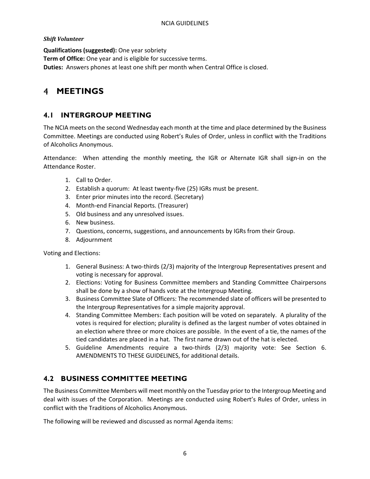#### *Shift Volunteer*

**Qualifications (suggested):** One year sobriety **Term of Office:** One year and is eligible for successive terms. **Duties:** Answers phones at least one shift per month when Central Office is closed.

# <span id="page-7-1"></span><span id="page-7-0"></span>**MEETINGS**

## **4.1 INTERGROUP MEETING**

The NCIA meets on the second Wednesday each month at the time and place determined by the Business Committee. Meetings are conducted using Robert's Rules of Order, unless in conflict with the Traditions of Alcoholics Anonymous.

Attendance: When attending the monthly meeting, the IGR or Alternate IGR shall sign-in on the Attendance Roster.

- 1. Call to Order.
- 2. Establish a quorum: At least twenty-five (25) IGRs must be present.
- 3. Enter prior minutes into the record. (Secretary)
- 4. Month-end Financial Reports. (Treasurer)
- 5. Old business and any unresolved issues.
- 6. New business.
- 7. Questions, concerns, suggestions, and announcements by IGRs from their Group.
- 8. Adjournment

Voting and Elections:

- 1. General Business: A two-thirds (2/3) majority of the Intergroup Representatives present and voting is necessary for approval.
- 2. Elections: Voting for Business Committee members and Standing Committee Chairpersons shall be done by a show of hands vote at the Intergroup Meeting.
- 3. Business Committee Slate of Officers: The recommended slate of officers will be presented to the Intergroup Representatives for a simple majority approval.
- 4. Standing Committee Members: Each position will be voted on separately. A plurality of the votes is required for election; plurality is defined as the largest number of votes obtained in an election where three or more choices are possible. In the event of a tie, the names of the tied candidates are placed in a hat. The first name drawn out of the hat is elected.
- 5. Guideline Amendments require a two-thirds (2/3) majority vote: See Section 6. [AMENDMENTS TO THESE GUIDELINES,](#page-9-1) for additional details.

## <span id="page-7-2"></span>**4.2 BUSINESS COMMITTEE MEETING**

The Business Committee Members will meet monthly on the Tuesday prior to the Intergroup Meeting and deal with issues of the Corporation. Meetings are conducted using Robert's Rules of Order, unless in conflict with the Traditions of Alcoholics Anonymous.

The following will be reviewed and discussed as normal Agenda items: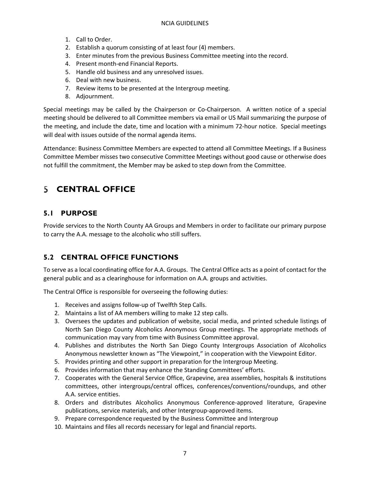#### NCIA GUIDELINES

- 1. Call to Order.
- 2. Establish a quorum consisting of at least four (4) members.
- 3. Enter minutes from the previous Business Committee meeting into the record.
- 4. Present month-end Financial Reports.
- 5. Handle old business and any unresolved issues.
- 6. Deal with new business.
- 7. Review items to be presented at the Intergroup meeting.
- 8. Adjournment.

Special meetings may be called by the Chairperson or Co-Chairperson. A written notice of a special meeting should be delivered to all Committee members via email or US Mail summarizing the purpose of the meeting, and include the date, time and location with a minimum 72-hour notice. Special meetings will deal with issues outside of the normal agenda items.

Attendance: Business Committee Members are expected to attend all Committee Meetings. If a Business Committee Member misses two consecutive Committee Meetings without good cause or otherwise does not fulfill the commitment, the Member may be asked to step down from the Committee.

# <span id="page-8-1"></span><span id="page-8-0"></span>**CENTRAL OFFICE**

## **5.1 PURPOSE**

Provide services to the North County AA Groups and Members in order to facilitate our primary purpose to carry the A.A. message to the alcoholic who still suffers.

## <span id="page-8-2"></span>**5.2 CENTRAL OFFICE FUNCTIONS**

To serve as a local coordinating office for A.A. Groups. The Central Office acts as a point of contact for the general public and as a clearinghouse for information on A.A. groups and activities.

The Central Office is responsible for overseeing the following duties:

- 1. Receives and assigns follow-up of Twelfth Step Calls.
- 2. Maintains a list of AA members willing to make 12 step calls.
- 3. Oversees the updates and publication of website, social media, and printed schedule listings of North San Diego County Alcoholics Anonymous Group meetings. The appropriate methods of communication may vary from time with Business Committee approval.
- 4. Publishes and distributes the North San Diego County Intergroups Association of Alcoholics Anonymous newsletter known as "The Viewpoint," in cooperation with the Viewpoint Editor.
- 5. Provides printing and other support in preparation for the Intergroup Meeting.
- 6. Provides information that may enhance the Standing Committees' efforts.
- 7. Cooperates with the General Service Office, Grapevine, area assemblies, hospitals & institutions committees, other intergroups/central offices, conferences/conventions/roundups, and other A.A. service entities.
- 8. Orders and distributes Alcoholics Anonymous Conference-approved literature, Grapevine publications, service materials, and other Intergroup-approved items.
- 9. Prepare correspondence requested by the Business Committee and Intergroup
- 10. Maintains and files all records necessary for legal and financial reports.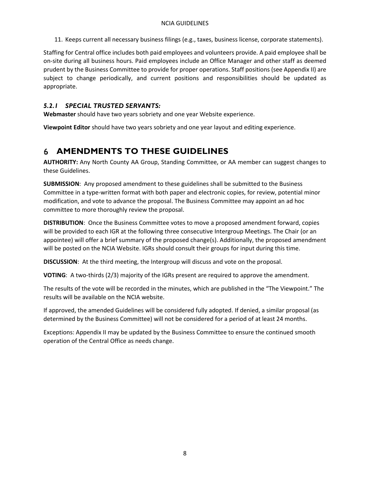11. Keeps current all necessary business filings (e.g., taxes, business license, corporate statements).

Staffing for Central office includes both paid employees and volunteers provide. A paid employee shall be on-site during all business hours. Paid employees include an Office Manager and other staff as deemed prudent by the Business Committee to provide for proper operations. Staff positions (see Appendix II) are subject to change periodically, and current positions and responsibilities should be updated as appropriate.

### <span id="page-9-0"></span>*5.2.1 SPECIAL TRUSTED SERVANTS:*

**Webmaster** should have two years sobriety and one year Website experience.

**Viewpoint Editor** should have two years sobriety and one year layout and editing experience.

# <span id="page-9-1"></span>**AMENDMENTS TO THESE GUIDELINES**

**AUTHORITY:** Any North County AA Group, Standing Committee, or AA member can suggest changes to these Guidelines.

**SUBMISSION**: Any proposed amendment to these guidelines shall be submitted to the Business Committee in a type-written format with both paper and electronic copies, for review, potential minor modification, and vote to advance the proposal. The Business Committee may appoint an ad hoc committee to more thoroughly review the proposal.

**DISTRIBUTION**: Once the Business Committee votes to move a proposed amendment forward, copies will be provided to each IGR at the following three consecutive Intergroup Meetings. The Chair (or an appointee) will offer a brief summary of the proposed change(s). Additionally, the proposed amendment will be posted on the NCIA Website. IGRs should consult their groups for input during this time.

**DISCUSSION**: At the third meeting, the Intergroup will discuss and vote on the proposal.

**VOTING**: A two-thirds (2/3) majority of the IGRs present are required to approve the amendment.

The results of the vote will be recorded in the minutes, which are published in the "The Viewpoint." The results will be available on the NCIA website.

If approved, the amended Guidelines will be considered fully adopted. If denied, a similar proposal (as determined by the Business Committee) will not be considered for a period of at least 24 months.

Exceptions: Appendix II may be updated by the Business Committee to ensure the continued smooth operation of the Central Office as needs change.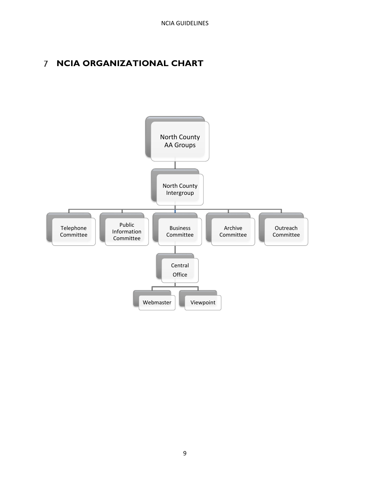# <span id="page-10-0"></span>**NCIA ORGANIZATIONAL CHART**

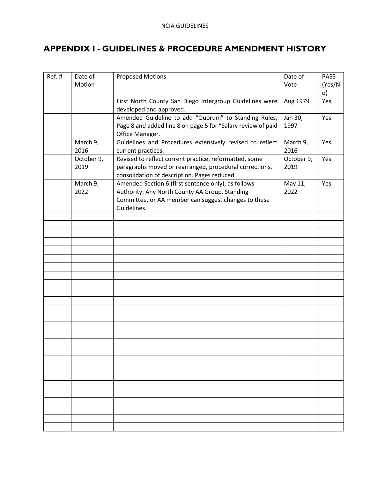# <span id="page-11-0"></span>**APPENDIX I - GUIDELINES & PROCEDURE AMENDMENT HISTORY**

| Ref.# | Date of<br>Motion  | <b>Proposed Motions</b>                                                                                                                                                      | Date of<br>Vote    | <b>PASS</b><br>(Yes/N<br>$\circ)$ |
|-------|--------------------|------------------------------------------------------------------------------------------------------------------------------------------------------------------------------|--------------------|-----------------------------------|
|       |                    | First North County San Diego Intergroup Guidelines were<br>developed and approved.                                                                                           | Aug 1979           | Yes                               |
|       |                    | Amended Guideline to add "Quorum" to Standing Rules,<br>Page 8 and added line 8 on page 5 for "Salary review of paid<br>Office Manager.                                      | Jan 30,<br>1997    | Yes                               |
|       | March 9,<br>2016   | Guidelines and Procedures extensively revised to reflect<br>current practices.                                                                                               | March 9,<br>2016   | Yes                               |
|       | October 9,<br>2019 | Revised to reflect current practice, reformatted, some<br>paragraphs moved or rearranged, procedural corrections,<br>consolidation of description. Pages reduced.            | October 9,<br>2019 | Yes                               |
|       | March 9,<br>2022   | Amended Section 6 (first sentence only), as follows<br>Authority: Any North County AA Group, Standing<br>Committee, or AA member can suggest changes to these<br>Guidelines. | May 11,<br>2022    | Yes                               |
|       |                    |                                                                                                                                                                              |                    |                                   |
|       |                    |                                                                                                                                                                              |                    |                                   |
|       |                    |                                                                                                                                                                              |                    |                                   |
|       |                    |                                                                                                                                                                              |                    |                                   |
|       |                    |                                                                                                                                                                              |                    |                                   |
|       |                    |                                                                                                                                                                              |                    |                                   |
|       |                    |                                                                                                                                                                              |                    |                                   |
|       |                    |                                                                                                                                                                              |                    |                                   |
|       |                    |                                                                                                                                                                              |                    |                                   |
|       |                    |                                                                                                                                                                              |                    |                                   |
|       |                    |                                                                                                                                                                              |                    |                                   |
|       |                    |                                                                                                                                                                              |                    |                                   |
|       |                    |                                                                                                                                                                              |                    |                                   |
|       |                    |                                                                                                                                                                              |                    |                                   |
|       |                    |                                                                                                                                                                              |                    |                                   |
|       |                    |                                                                                                                                                                              |                    |                                   |
|       |                    |                                                                                                                                                                              |                    |                                   |
|       |                    |                                                                                                                                                                              |                    |                                   |
|       |                    |                                                                                                                                                                              |                    |                                   |
|       |                    |                                                                                                                                                                              |                    |                                   |
|       |                    |                                                                                                                                                                              |                    |                                   |
|       |                    |                                                                                                                                                                              |                    |                                   |
|       |                    |                                                                                                                                                                              |                    |                                   |
|       |                    |                                                                                                                                                                              |                    |                                   |